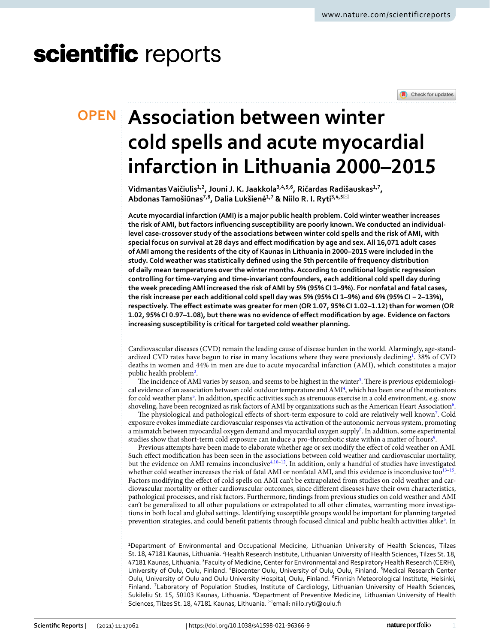# scientific reports

Check for updates

# **Association between winter OPEN cold spells and acute myocardial infarction in Lithuania 2000–2015**

**VidmantasVaičiulis1,2, Jouni J. K. Jaakkola3,4,5,6, Ričardas Radišauskas1,7, AbdonasTamošiūnas7,8, Dalia Lukšienė1,7 & Niilo R. I. Ryti3,4,5**\*

**Acute myocardial infarction (AMI) is a major public health problem. Cold winter weather increases the risk of AMI, but factors infuencing susceptibility are poorly known. We conducted an individuallevel case-crossover study of the associations between winter cold spells and the risk of AMI, with special focus on survival at 28 days and efect modifcation by age and sex. All 16,071 adult cases of AMI among the residents of the city of Kaunas in Lithuania in 2000–2015 were included in the study. Cold weather was statistically defned using the 5th percentile of frequency distribution of daily mean temperatures over the winter months. According to conditional logistic regression controlling for time-varying and time-invariant confounders, each additional cold spell day during the week preceding AMI increased the risk of AMI by 5% (95% CI 1–9%). For nonfatal and fatal cases, the risk increase per each additional cold spell day was 5% (95% CI 1–9%) and 6% (95% CI − 2–13%), respectively. The efect estimate was greater for men (OR 1.07, 95% CI 1.02–1.12) than for women (OR 1.02, 95% CI 0.97–1.08), but there was no evidence of efect modifcation by age. Evidence on factors increasing susceptibility is critical for targeted cold weather planning.**

Cardiovascular diseases (CVD) remain the leading cause of disease burden in the world. Alarmingly, age-standardized CVD rates have begun to rise in many locations where they were previously declining<sup>1</sup>. 38% of CVD deaths in women and 44% in men are due to acute myocardial infarction (AMI), which constitutes a major public health problem<sup>[2](#page-6-1)</sup>.

The incidence of AMI varies by season, and seems to be highest in the winter<sup>3</sup>. There is previous epidemiological evidence of an association between cold outdoor temperature and AMI[4](#page-6-3) , which has been one of the motivators for cold weather plans<sup>5</sup>. In addition, specific activities such as strenuous exercise in a cold environment, e.g. snow shoveling, have been recognized as risk factors of AMI by organizations such as the American Heart Association $^6$ .

The physiological and pathological effects of short-term exposure to cold are relatively well known<sup>[7](#page-6-6)</sup>. Cold exposure evokes immediate cardiovascular responses via activation of the autonomic nervous system, promoting a mismatch between myocardial oxygen demand and myocardial oxygen supply<sup>[8](#page-6-7)</sup>. In addition, some experimental studies show that short-term cold exposure can induce a pro-thrombotic state within a matter of hours<sup>9</sup>.

Previous attempts have been made to elaborate whether age or sex modify the efect of cold weather on AMI. Such efect modifcation has been seen in the associations between cold weather and cardiovascular mortality, but the evidence on AMI remains inconclusiv[e4](#page-6-3),[10](#page-6-9)–[12](#page-6-10). In addition, only a handful of studies have investigated whether cold weather increases the risk of fatal AMI or nonfatal AMI, and this evidence is inconclusive too<sup>[13](#page-6-11)[–15](#page-6-12)</sup>. Factors modifying the efect of cold spells on AMI can't be extrapolated from studies on cold weather and cardiovascular mortality or other cardiovascular outcomes, since diferent diseases have their own characteristics, pathological processes, and risk factors. Furthermore, fndings from previous studies on cold weather and AMI can't be generalized to all other populations or extrapolated to all other climates, warranting more investigations in both local and global settings. Identifying susceptible groups would be important for planning targeted prevention strategies, and could benefit patients through focused clinical and public health activities alike<sup>5</sup>. In

<sup>1</sup>Department of Environmental and Occupational Medicine, Lithuanian University of Health Sciences, Tilzes St. 18, 47181 Kaunas, Lithuania. <sup>2</sup>Health Research Institute, Lithuanian University of Health Sciences, Tilzes St. 18, 47181 Kaunas, Lithuania. <sup>3</sup>Faculty of Medicine, Center for Environmental and Respiratory Health Research (CERH), University of Oulu, Oulu, Finland. <sup>4</sup>Biocenter Oulu, University of Oulu, Oulu, Finland. <sup>5</sup>Medical Research Center Oulu, University of Oulu and Oulu University Hospital, Oulu, Finland. <sup>6</sup>Finnish Meteorological Institute, Helsinki, Finland. <sup>7</sup> Laboratory of Population Studies, Institute of Cardiology, Lithuanian University of Health Sciences, Sukileliu St. 15, 50103 Kaunas, Lithuania. <sup>8</sup>Department of Preventive Medicine, Lithuanian University of Health Sciences, Tilzes St. 18, 47181 Kaunas, Lithuania. <sup>⊠</sup>email: niilo.ryti@oulu.fi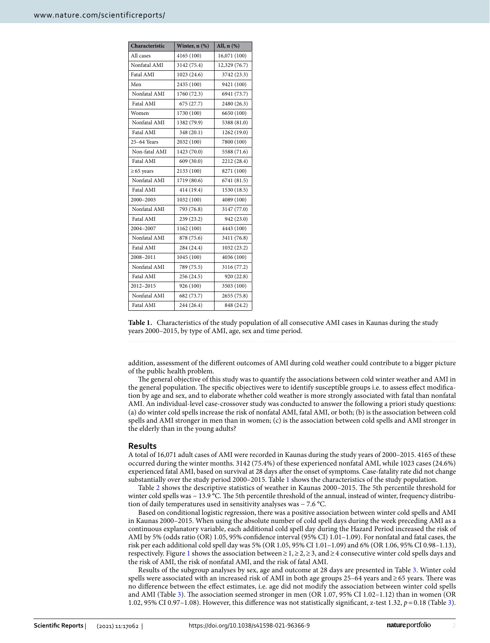| Characteristic  | Winter, n (%) | All, $n$ $(\%)$ |
|-----------------|---------------|-----------------|
| All cases       | 4165 (100)    | 16,071 (100)    |
| Nonfatal AMI    | 3142 (75.4)   | 12,329 (76.7)   |
| Fatal AMI       | 1023 (24.6)   | 3742 (23.3)     |
| Men             | 2435 (100)    | 9421 (100)      |
| Nonfatal AMI    | 1760 (72.3)   | 6941 (73.7)     |
| Fatal AMI       | 675 (27.7)    | 2480 (26.3)     |
| Women           | 1730 (100)    | 6650 (100)      |
| Nonfatal AMI    | 1382 (79.9)   | 5388 (81.0)     |
| Fatal AMI       | 348 (20.1)    | 1262 (19.0)     |
| 25-64 Years     | 2032 (100)    | 7800 (100)      |
| Non-fatal AMI   | 1423 (70.0)   | 5588 (71.6)     |
| Fatal AMI       | 609 (30.0)    | 2212 (28.4)     |
| $\geq 65$ years | 2133 (100)    | 8271 (100)      |
| Nonfatal AMI    | 1719 (80.6)   | 6741 (81.5)     |
| Fatal AMI       | 414 (19.4)    | 1530 (18.5)     |
| 2000-2003       | 1032 (100)    | 4089 (100)      |
| Nonfatal AMI    | 793 (76.8)    | 3147 (77.0)     |
| Fatal AMI       | 239 (23.2)    | 942 (23.0)      |
| 2004-2007       | 1162 (100)    | 4443 (100)      |
| Nonfatal AMI    | 878 (75.6)    | 3411 (76.8)     |
| Fatal AMI       | 284 (24.4)    | 1032 (23.2)     |
| 2008-2011       | 1045 (100)    | 4036 (100)      |
| Nonfatal AMI    | 789 (75.5)    | 3116 (77.2)     |
| Fatal AMI       | 256 (24.5)    | 920 (22.8)      |
| 2012-2015       | 926 (100)     | 3503 (100)      |
| Nonfatal AMI    | 682 (73.7)    | 2655 (75.8)     |
| Fatal AMI       | 244 (26.4)    | 848 (24.2)      |

<span id="page-1-0"></span>**Table 1.** Characteristics of the study population of all consecutive AMI cases in Kaunas during the study years 2000–2015, by type of AMI, age, sex and time period.

addition, assessment of the diferent outcomes of AMI during cold weather could contribute to a bigger picture of the public health problem.

The general objective of this study was to quantify the associations between cold winter weather and AMI in the general population. The specific objectives were to identify susceptible groups i.e. to assess effect modification by age and sex, and to elaborate whether cold weather is more strongly associated with fatal than nonfatal AMI. An individual-level case-crossover study was conducted to answer the following a priori study questions: (a) do winter cold spells increase the risk of nonfatal AMI, fatal AMI, or both; (b) is the association between cold spells and AMI stronger in men than in women; (c) is the association between cold spells and AMI stronger in the elderly than in the young adults?

### **Results**

A total of 16,071 adult cases of AMI were recorded in Kaunas during the study years of 2000–2015. 4165 of these occurred during the winter months. 3142 (75.4%) of these experienced nonfatal AMI, while 1023 cases (24.6%) experienced fatal AMI, based on survival at 28 days afer the onset of symptoms. Case-fatality rate did not change substantially over the study period 2000–2015. Table [1](#page-1-0) shows the characteristics of the study population.

Table [2](#page-2-0) shows the descriptive statistics of weather in Kaunas 2000–2015. The 5th percentile threshold for winter cold spells was − 13.9 °C. The 5th percentile threshold of the annual, instead of winter, frequency distribution of daily temperatures used in sensitivity analyses was − 7.6 °C.

Based on conditional logistic regression, there was a positive association between winter cold spells and AMI in Kaunas 2000–2015. When using the absolute number of cold spell days during the week preceding AMI as a continuous explanatory variable, each additional cold spell day during the Hazard Period increased the risk of AMI by 5% (odds ratio (OR) 1.05, 95% confdence interval (95% CI) 1.01–1.09). For nonfatal and fatal cases, the risk per each additional cold spell day was 5% (OR 1.05, 95% CI 1.01–1.09) and 6% (OR 1.06, 95% CI 0.98–1.13), respectively. Figure [1](#page-2-1) shows the association between≥1,≥2,≥3, and≥4 consecutive winter cold spells days and the risk of AMI, the risk of nonfatal AMI, and the risk of fatal AMI.

Results of the subgroup analyses by sex, age and outcome at 28 days are presented in Table [3](#page-2-2). Winter cold spells were associated with an increased risk of AMI in both age groups 25–64 years and≥65 years. There was no diference between the efect estimates, i.e. age did not modify the association between winter cold spells and AMI (Table [3](#page-2-2)). Te association seemed stronger in men (OR 1.07, 95% CI 1.02–1.12) than in women (OR 1.02, 95% CI 0.97–1.08). However, this diference was not statistically signifcant, z-test 1.32, *p*=0.18 (Table [3\)](#page-2-2).

2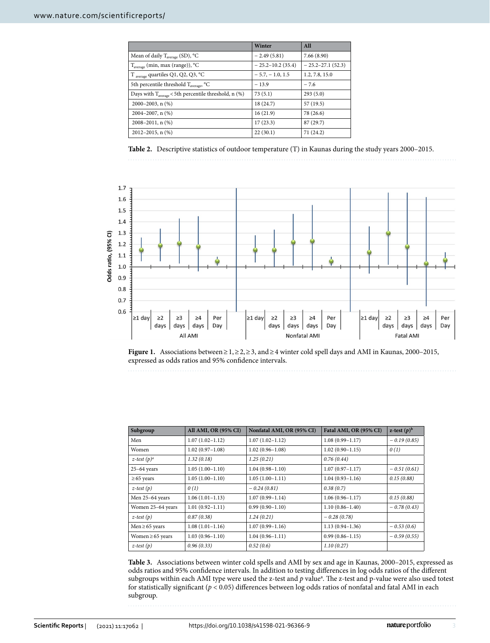|                                                                  | Winter               | All                |
|------------------------------------------------------------------|----------------------|--------------------|
| Mean of daily T <sub>average</sub> (SD), °C                      | $-2.49(5.81)$        | 7.66(8.90)         |
| $T_{average}$ (min, max (range)), °C                             | $-25.2 - 10.2(35.4)$ | $-25.2-27.1(52.3)$ |
| T average quartiles Q1, Q2, Q3, °C                               | $-5.7, -1.0, 1.5$    | 1.2, 7.8, 15.0     |
| 5th percentile threshold T <sub>average</sub> , °C               | $-13.9$              | $-7.6$             |
| Days with $T_{\text{average}}$ < 5th percentile threshold, n (%) | 73(5.1)              | 293(5.0)           |
| $2000 - 2003$ , n $(\%)$                                         | 18 (24.7)            | 57 (19.5)          |
| $2004 - 2007$ , n $(\%)$                                         | 16(21.9)             | 78 (26.6)          |
| $2008 - 2011$ , n $(\%)$                                         | 17(23.3)             | 87 (29.7)          |
| $2012 - 2015$ , n $(\%)$                                         | 22(30.1)             | 71 (24.2)          |

<span id="page-2-0"></span>**Table 2.** Descriptive statistics of outdoor temperature (T) in Kaunas during the study years 2000–2015.



<span id="page-2-1"></span>**Figure 1.** Associations between≥1,≥2,≥3, and≥4 winter cold spell days and AMI in Kaunas, 2000–2015, expressed as odds ratios and 95% confdence intervals.

|--|

| Subgroup              | <b>All AMI, OR (95% CI)</b> | Nonfatal AMI, OR (95% CI) | Fatal AMI, OR (95% CI) | z-test $(p)^b$ |
|-----------------------|-----------------------------|---------------------------|------------------------|----------------|
| Men                   | $1.07(1.02 - 1.12)$         | $1.07(1.02 - 1.12)$       | $1.08(0.99 - 1.17)$    | $-0.19(0.85)$  |
| <b>Women</b>          | $1.02(0.97-1.08)$           | $1.02(0.96 - 1.08)$       | $1.02(0.90-1.15)$      | 0(1)           |
| z-test $(p)^a$        | 1.32(0.18)                  | 1.25(0.21)                | 0.76(0.44)             |                |
| $25-64$ years         | $1.05(1.00-1.10)$           | $1.04(0.98 - 1.10)$       | $1.07(0.97 - 1.17)$    | $-0.51(0.61)$  |
| $\geq 65$ years       | $1.05(1.00-1.10)$           | $1.05(1.00-1.11)$         | $1.04(0.93 - 1.16)$    | 0.15(0.88)     |
| $z$ -test $(p)$       | 0(1)                        | $-0.24(0.81)$             | 0.38(0.7)              |                |
| Men 25-64 years       | $1.06(1.01-1.13)$           | $1.07(0.99 - 1.14)$       | $1.06(0.96 - 1.17)$    | 0.15(0.88)     |
| Women 25-64 years     | $1.01(0.92 - 1.11)$         | $0.99(0.90 - 1.10)$       | $1.10(0.86 - 1.40)$    | $-0.78(0.43)$  |
| $z$ -test $(p)$       | 0.87(0.38)                  | 1.24(0.21)                | $-0.28(0.78)$          |                |
| Men $\geq 65$ years   | $1.08(1.01-1.16)$           | $1.07(0.99 - 1.16)$       | $1.13(0.94 - 1.36)$    | $-0.53(0.6)$   |
| Women $\geq 65$ years | $1.03(0.96 - 1.10)$         | $1.04(0.96 - 1.11)$       | $0.99(0.86 - 1.15)$    | $-0.59(0.55)$  |
| $z$ -test $(p)$       | 0.96(0.33)                  | 0.52(0.6)                 | 1.10(0.27)             |                |

<span id="page-2-2"></span>**Table 3.** Associations between winter cold spells and AMI by sex and age in Kaunas, 2000–2015, expressed as odds ratios and 95% confdence intervals. In addition to testing diferences in log odds ratios of the diferent subgroups within each AMI type were used the z-test and p value<sup>a</sup>. The z-test and p-value were also used totest for statistically signifcant (*p* < 0.05) diferences between log odds ratios of nonfatal and fatal AMI in each subgroup.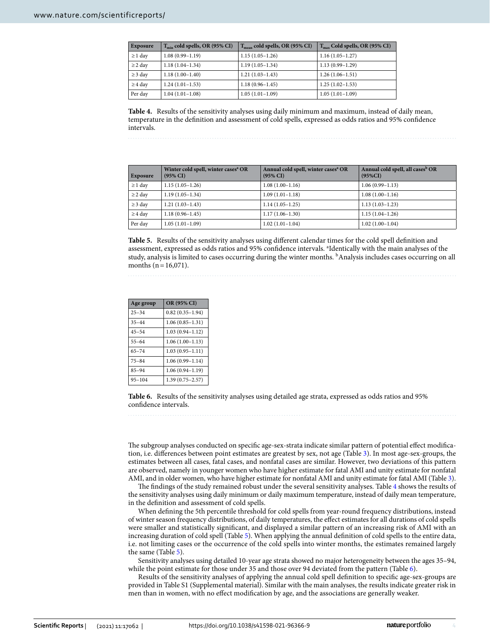| Exposure     | $T_{\min}$ cold spells, OR (95% CI) | $T_{mean}$ cold spells, OR (95% CI) | $T_{\rm max}$ Cold spells, OR (95% CI) |
|--------------|-------------------------------------|-------------------------------------|----------------------------------------|
| $\geq 1$ day | $1.08(0.99 - 1.19)$                 | $1.15(1.05-1.26)$                   | $1.16(1.05-1.27)$                      |
| $\geq$ 2 day | $1.18(1.04-1.34)$                   | $1.19(1.05-1.34)$                   | $1.13(0.99 - 1.29)$                    |
| $\geq$ 3 day | $1.18(1.00-1.40)$                   | $1.21(1.03-1.43)$                   | $1.26(1.06-1.51)$                      |
| $\geq$ 4 day | $1.24(1.01-1.53)$                   | $1.18(0.96 - 1.45)$                 | $1.25(1.02-1.53)$                      |
| Per day      | $1.04(1.01-1.08)$                   | $1.05(1.01-1.09)$                   | $1.05(1.01-1.09)$                      |

<span id="page-3-0"></span>**Table 4.** Results of the sensitivity analyses using daily minimum and maximum, instead of daily mean, temperature in the defnition and assessment of cold spells, expressed as odds ratios and 95% confdence intervals.

| Exposure     | Winter cold spell, winter cases <sup>a</sup> OR<br>$(95\% \text{ CI})$ | Annual cold spell, winter cases <sup>a</sup> OR<br>$(95\% \text{ CI})$ | Annual cold spell, all cases <sup>b</sup> OR<br>$(95\%CI)$ |
|--------------|------------------------------------------------------------------------|------------------------------------------------------------------------|------------------------------------------------------------|
| $\geq 1$ day | $1.15(1.05-1.26)$                                                      | $1.08(1.00-1.16)$                                                      | $1.06(0.99-1.13)$                                          |
| $\geq$ 2 day | $1.19(1.05-1.34)$                                                      | $1.09(1.01-1.18)$                                                      | $1.08(1.00-1.16)$                                          |
| $\geq$ 3 day | $1.21(1.03-1.43)$                                                      | $1.14(1.05-1.25)$                                                      | $1.13(1.03-1.23)$                                          |
| $\geq$ 4 day | $1.18(0.96 - 1.45)$                                                    | $1.17(1.06-1.30)$                                                      | $1.15(1.04-1.26)$                                          |
| Per day      | $1.05(1.01-1.09)$                                                      | $1.02(1.01-1.04)$                                                      | $1.02(1.00-1.04)$                                          |

<span id="page-3-1"></span>**Table 5.** Results of the sensitivity analyses using diferent calendar times for the cold spell defnition and assessment, expressed as odds ratios and 95% confidence intervals. <sup>a</sup>Identically with the main analyses of the study, analysis is limited to cases occurring during the winter months. <sup>b</sup>Analysis includes cases occurring on all months ( $n=16,071$ ).

| Age group  | OR (95% CI)         |
|------------|---------------------|
| $25 - 34$  | $0.82(0.35 - 1.94)$ |
| $35 - 44$  | $1.06(0.85 - 1.31)$ |
| $45 - 54$  | $1.03(0.94 - 1.12)$ |
| $55 - 64$  | $1.06(1.00-1.13)$   |
| $65 - 74$  | $1.03(0.95 - 1.11)$ |
| $75 - 84$  | $1.06(0.99 - 1.14)$ |
| $85 - 94$  | $1.06(0.94 - 1.19)$ |
| $95 - 104$ | $1.39(0.75 - 2.57)$ |

<span id="page-3-2"></span>**Table 6.** Results of the sensitivity analyses using detailed age strata, expressed as odds ratios and 95% confdence intervals.

The subgroup analyses conducted on specific age-sex-strata indicate similar pattern of potential effect modification, i.e. diferences between point estimates are greatest by sex, not age (Table [3\)](#page-2-2). In most age-sex-groups, the estimates between all cases, fatal cases, and nonfatal cases are similar. However, two deviations of this pattern are observed, namely in younger women who have higher estimate for fatal AMI and unity estimate for nonfatal AMI, and in older women, who have higher estimate for nonfatal AMI and unity estimate for fatal AMI (Table [3](#page-2-2)).

The findings of the study remained robust under the several sensitivity analyses. Table [4](#page-3-0) shows the results of the sensitivity analyses using daily minimum or daily maximum temperature, instead of daily mean temperature, in the defnition and assessment of cold spells.

When defning the 5th percentile threshold for cold spells from year-round frequency distributions, instead of winter season frequency distributions, of daily temperatures, the efect estimates for all durations of cold spells were smaller and statistically signifcant, and displayed a similar pattern of an increasing risk of AMI with an increasing duration of cold spell (Table [5\)](#page-3-1). When applying the annual defnition of cold spells to the entire data, i.e. not limiting cases or the occurrence of the cold spells into winter months, the estimates remained largely the same (Table [5\)](#page-3-1).

Sensitivity analyses using detailed 10-year age strata showed no major heterogeneity between the ages 35–94, while the point estimate for those under 35 and those over 94 deviated from the pattern (Table [6](#page-3-2)).

Results of the sensitivity analyses of applying the annual cold spell defnition to specifc age-sex-groups are provided in Table S1 (Supplemental material). Similar with the main analyses, the results indicate greater risk in men than in women, with no efect modifcation by age, and the associations are generally weaker.

4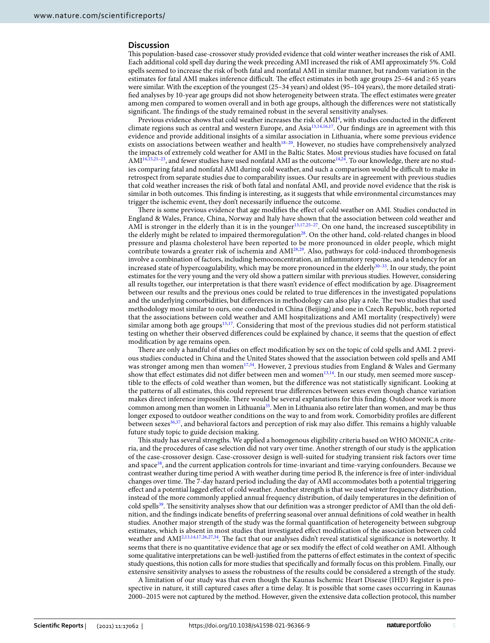### **Discussion**

Tis population-based case-crossover study provided evidence that cold winter weather increases the risk of AMI. Each additional cold spell day during the week preceding AMI increased the risk of AMI approximately 5%. Cold spells seemed to increase the risk of both fatal and nonfatal AMI in similar manner, but random variation in the estimates for fatal AMI makes inference difficult. The effect estimates in both age groups 25–64 and ≥65 years were similar. With the exception of the youngest (25–34 years) and oldest (95–104 years), the more detailed stratified analyses by 10-year age groups did not show heterogeneity between strata. The effect estimates were greater among men compared to women overall and in both age groups, although the diferences were not statistically significant. The findings of the study remained robust in the several sensitivity analyses.

Previous evidence shows that cold weather increases the risk of  $AMI<sup>4</sup>$  $AMI<sup>4</sup>$  $AMI<sup>4</sup>$ , with studies conducted in the different climate regions such as central and western Europe, and Asi[a13](#page-6-11),[14](#page-6-13),[16](#page-6-14),[17](#page-7-0). Our fndings are in agreement with this evidence and provide additional insights of a similar association in Lithuania, where some previous evidence exists on associations between weather and health<sup>[18](#page-7-1)-20</sup>. However, no studies have comprehensively analyzed the impacts of extremely cold weather for AMI in the Baltic States. Most previous studies have focused on fatal  $AMI<sup>14,15,21-23</sup>$  $AMI<sup>14,15,21-23</sup>$  $AMI<sup>14,15,21-23</sup>$  $AMI<sup>14,15,21-23</sup>$ , and fewer studies have used nonfatal AMI as the outcome<sup>[14](#page-6-13),[24](#page-7-5)</sup>. To our knowledge, there are no studies comparing fatal and nonfatal AMI during cold weather, and such a comparison would be difficult to make in retrospect from separate studies due to comparability issues. Our results are in agreement with previous studies that cold weather increases the risk of both fatal and nonfatal AMI, and provide novel evidence that the risk is similar in both outcomes. This finding is interesting, as it suggests that while environmental circumstances may trigger the ischemic event, they don't necessarily infuence the outcome.

There is some previous evidence that age modifies the effect of cold weather on AMI. Studies conducted in England & Wales, France, China, Norway and Italy have shown that the association between cold weather and AMI is stronger in the elderly than it is in the younger<sup>[13](#page-6-11),[17,](#page-7-0)25-27</sup>. On one hand, the increased susceptibility in the elderly might be related to impaired thermoregulation<sup>[28](#page-7-8)</sup>. On the other hand, cold-related changes in blood pressure and plasma cholesterol have been reported to be more pronounced in older people, which might contribute towards a greater risk of ischemia and AMI[28](#page-7-8),[29](#page-7-9). Also, pathways for cold-induced thrombogenesis involve a combination of factors, including hemoconcentration, an infammatory response, and a tendency for an increased state of hypercoagulability, which may be more pronounced in the elderly<sup>[30](#page-7-10)–[33](#page-7-11)</sup>. In our study, the point estimates for the very young and the very old show a pattern similar with previous studies. However, considering all results together, our interpretation is that there wasn't evidence of efect modifcation by age. Disagreement between our results and the previous ones could be related to true diferences in the investigated populations and the underlying comorbidities, but differences in methodology can also play a role. The two studies that used methodology most similar to ours, one conducted in China (Beijing) and one in Czech Republic, both reported that the associations between cold weather and AMI hospitalizations and AMI mortality (respectively) were similar among both age groups<sup>15[,17](#page-7-0)</sup>. Considering that most of the previous studies did not perform statistical testing on whether their observed diferences could be explained by chance, it seems that the question of efect modifcation by age remains open.

There are only a handful of studies on effect modification by sex on the topic of cold spells and AMI. 2 previous studies conducted in China and the United States showed that the association between cold spells and AMI was stronger among men than women<sup>17[,34](#page-7-12)</sup>. However, 2 previous studies from England & Wales and Germany show that effect estimates did not differ between men and women<sup>13[,14](#page-6-13)</sup>. In our study, men seemed more susceptible to the efects of cold weather than women, but the diference was not statistically signifcant. Looking at the patterns of all estimates, this could represent true diferences between sexes even though chance variation makes direct inference impossible. There would be several explanations for this finding. Outdoor work is more common among men than women in Lithuania<sup>[35](#page-7-13)</sup>. Men in Lithuania also retire later than women, and may be thus longer exposed to outdoor weather conditions on the way to and from work. Comorbidity profles are diferent between sexes<sup>[36,](#page-7-14)37</sup>, and behavioral factors and perception of risk may also differ. This remains a highly valuable future study topic to guide decision making.

Tis study has several strengths. We applied a homogenous eligibility criteria based on WHO MONICA criteria, and the procedures of case selection did not vary over time. Another strength of our study is the application of the case-crossover design. Case-crossover design is well-suited for studying transient risk factors over time and space<sup>38</sup>, and the current application controls for time-invariant and time-varying confounders. Because we contrast weather during time period A with weather during time period B, the inference is free of inter-individual changes over time. The 7-day hazard period including the day of AMI accommodates both a potential triggering efect and a potential lagged efect of cold weather. Another strength is that we used winter frequency distribution, instead of the more commonly applied annual frequency distribution, of daily temperatures in the defnition of cold spells<sup>39</sup>. The sensitivity analyses show that our definition was a stronger predictor of AMI than the old definition, and the fndings indicate benefts of preferring seasonal over annual defnitions of cold weather in health studies. Another major strength of the study was the formal quantifcation of heterogeneity between subgroup estimates, which is absent in most studies that investigated efect modifcation of the association between cold weather and AMI<sup>[2](#page-6-1),[13](#page-6-11),[14](#page-6-13),[17,](#page-7-0)[26,](#page-7-18)[27,](#page-7-7)34</sup>. The fact that our analyses didn't reveal statistical significance is noteworthy. It seems that there is no quantitative evidence that age or sex modify the efect of cold weather on AMI. Although some qualitative interpretations can be well-justifed from the patterns of efect estimates in the context of specifc study questions, this notion calls for more studies that specifcally and formally focus on this problem. Finally, our extensive sensitivity analyses to assess the robustness of the results could be considered a strength of the study.

A limitation of our study was that even though the Kaunas Ischemic Heart Disease (IHD) Register is prospective in nature, it still captured cases afer a time delay. It is possible that some cases occurring in Kaunas 2000–2015 were not captured by the method. However, given the extensive data collection protocol, this number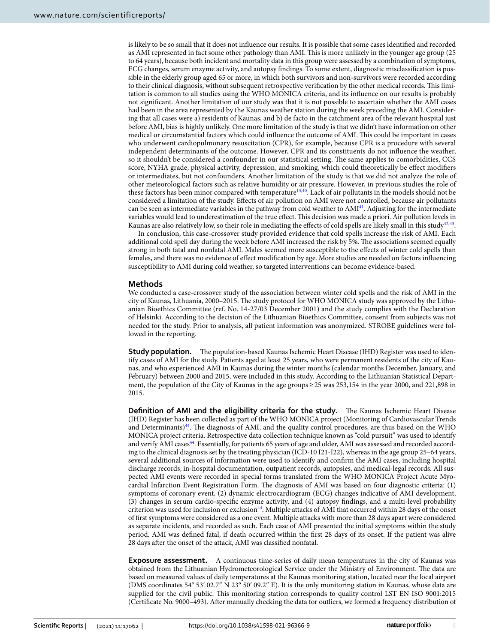is likely to be so small that it does not infuence our results. It is possible that some cases identifed and recorded as AMI represented in fact some other pathology than AMI. Tis is more unlikely in the younger age group (25 to 64 years), because both incident and mortality data in this group were assessed by a combination of symptoms, ECG changes, serum enzyme activity, and autopsy fndings. To some extent, diagnostic misclassifcation is possible in the elderly group aged 65 or more, in which both survivors and non-survivors were recorded according to their clinical diagnosis, without subsequent retrospective verifcation by the other medical records. Tis limitation is common to all studies using the WHO MONICA criteria, and its infuence on our results is probably not signifcant. Another limitation of our study was that it is not possible to ascertain whether the AMI cases had been in the area represented by the Kaunas weather station during the week preceding the AMI. Considering that all cases were a) residents of Kaunas, and b) de facto in the catchment area of the relevant hospital just before AMI, bias is highly unlikely. One more limitation of the study is that we didn't have information on other medical or circumstantial factors which could influence the outcome of AMI. This could be important in cases who underwent cardiopulmonary resuscitation (CPR), for example, because CPR is a procedure with several independent determinants of the outcome. However, CPR and its constituents do not infuence the weather, so it shouldn't be considered a confounder in our statistical setting. The same applies to comorbidities, CCS score, NYHA grade, physical activity, depression, and smoking, which could theoretically be efect modifers or intermediates, but not confounders. Another limitation of the study is that we did not analyze the role of other meteorological factors such as relative humidity or air pressure. However, in previous studies the role of these factors has been minor compared with temperature<sup>13[,40](#page-7-19)</sup>. Lack of air pollutants in the models should not be considered a limitation of the study. Efects of air pollution on AMI were not controlled, because air pollutants can be seen as intermediate variables in the pathway from cold weather to  $AMI<sup>41</sup>$  $AMI<sup>41</sup>$  $AMI<sup>41</sup>$ . Adjusting for the intermediate variables would lead to underestimation of the true efect. Tis decision was made a priori. Air pollution levels in Kaunas are also relatively low, so their role in mediating the effects of cold spells are likely small in this study $42.43$  $42.43$  $42.43$ .

In conclusion, this case-crossover study provided evidence that cold spells increase the risk of AMI. Each additional cold spell day during the week before AMI increased the risk by 5%. The associations seemed equally strong in both fatal and nonfatal AMI. Males seemed more susceptible to the efects of winter cold spells than females, and there was no evidence of efect modifcation by age. More studies are needed on factors infuencing susceptibility to AMI during cold weather, so targeted interventions can become evidence-based.

# **Methods**

We conducted a case-crossover study of the association between winter cold spells and the risk of AMI in the city of Kaunas, Lithuania, 2000–2015. Te study protocol for WHO MONICA study was approved by the Lithuanian Bioethics Committee (ref. No. 14-27/03 December 2001) and the study complies with the Declaration of Helsinki. According to the decision of the Lithuanian Bioethics Committee, consent from subjects was not needed for the study. Prior to analysis, all patient information was anonymized. STROBE guidelines were followed in the reporting.

**Study population.** The population-based Kaunas Ischemic Heart Disease (IHD) Register was used to identify cases of AMI for the study. Patients aged at least 25 years, who were permanent residents of the city of Kaunas, and who experienced AMI in Kaunas during the winter months (calendar months December, January, and February) between 2000 and 2015, were included in this study. According to the Lithuanian Statistical Department, the population of the City of Kaunas in the age groups≥25 was 253,154 in the year 2000, and 221,898 in 2015.

**Definition of AMI and the eligibility criteria for the study.** The Kaunas Ischemic Heart Disease (IHD) Register has been collected as part of the WHO MONICA project (Monitoring of Cardiovascular Trends and Determinants)<sup>44</sup>. The diagnosis of AMI, and the quality control procedures, are thus based on the WHO MONICA project criteria. Retrospective data collection technique known as "cold pursuit" was used to identify and verify AMI cases<sup>[44](#page-7-23)</sup>. Essentially, for patients 65 years of age and older, AMI was assessed and recorded according to the clinical diagnosis set by the treating physician (ICD-10 I21-I22), whereas in the age group 25–64 years, several additional sources of information were used to identify and confrm the AMI cases, including hospital discharge records, in-hospital documentation, outpatient records, autopsies, and medical-legal records. All suspected AMI events were recorded in special forms translated from the WHO MONICA Project Acute Myocardial Infarction Event Registration Form. The diagnosis of AMI was based on four diagnostic criteria: (1) symptoms of coronary event, (2) dynamic electrocardiogram (ECG) changes indicative of AMI development, (3) changes in serum cardio-specifc enzyme activity, and (4) autopsy fndings, and a multi-level probability criterion was used for inclusion or exclusion<sup>44</sup>. Multiple attacks of AMI that occurred within 28 days of the onset of frst symptoms were considered as a one event. Multiple attacks with more than 28 days apart were considered as separate incidents, and recorded as such. Each case of AMI presented the initial symptoms within the study period. AMI was defned fatal, if death occurred within the frst 28 days of its onset. If the patient was alive 28 days afer the onset of the attack, AMI was classifed nonfatal.

**Exposure assessment.** A continuous time-series of daily mean temperatures in the city of Kaunas was obtained from the Lithuanian Hydrometeorological Service under the Ministry of Environment. The data are based on measured values of daily temperatures at the Kaunas monitoring station, located near the local airport (DMS coordinates 54° 53′ 02.7″ N 23° 50′ 09.2″ E). It is the only monitoring station in Kaunas, whose data are supplied for the civil public. This monitoring station corresponds to quality control LST EN ISO 9001:2015 (Certifcate No. 9000–493). Afer manually checking the data for outliers, we formed a frequency distribution of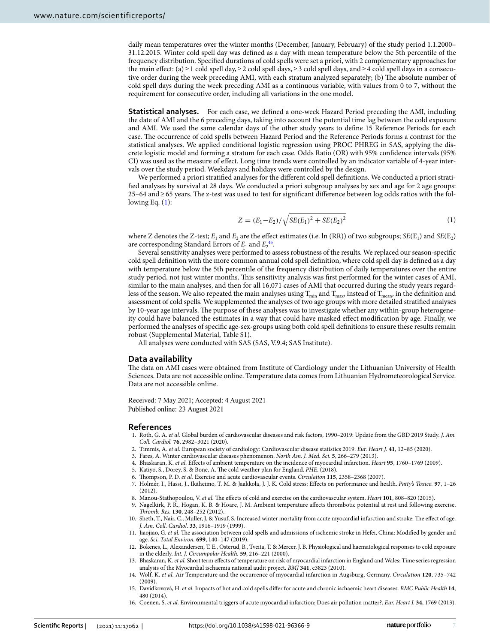daily mean temperatures over the winter months (December, January, February) of the study period 1.1.2000– 31.12.2015. Winter cold spell day was defned as a day with mean temperature below the 5th percentile of the frequency distribution. Specifed durations of cold spells were set a priori, with 2 complementary approaches for the main efect: (a)≥1 cold spell day,≥2 cold spell days,≥3 cold spell days, and≥4 cold spell days in a consecutive order during the week preceding AMI, with each stratum analyzed separately; (b) The absolute number of cold spell days during the week preceding AMI as a continuous variable, with values from 0 to 7, without the requirement for consecutive order, including all variations in the one model.

**Statistical analyses.** For each case, we defned a one-week Hazard Period preceding the AMI, including the date of AMI and the 6 preceding days, taking into account the potential time lag between the cold exposure and AMI. We used the same calendar days of the other study years to defne 15 Reference Periods for each case. The occurrence of cold spells between Hazard Period and the Reference Periods forms a contrast for the statistical analyses. We applied conditional logistic regression using PROC PHREG in SAS, applying the discrete logistic model and forming a stratum for each case. Odds Ratio (OR) with 95% confdence intervals (95% CI) was used as the measure of efect. Long time trends were controlled by an indicator variable of 4-year intervals over the study period. Weekdays and holidays were controlled by the design.

We performed a priori stratifed analyses for the diferent cold spell defnitions. We conducted a priori stratifed analyses by survival at 28 days. We conducted a priori subgroup analyses by sex and age for 2 age groups: 25–64 and≥65 years. Te z-test was used to test for signifcant diference between log odds ratios with the following Eq.  $(1)$  $(1)$ :

<span id="page-6-15"></span>
$$
Z = (E_1 - E_2) / \sqrt{SE(E_1)^2 + SE(E_2)^2}
$$
 (1)

where Z denotes the Z-test;  $E_1$  and  $E_2$  are the effect estimates (i.e. ln (RR)) of two subgroups;  $SE(E_1)$  and  $SE(E_2)$ are corresponding Standard Errors of  $E_1$  and  $E_2$ <sup>45</sup>.

Several sensitivity analyses were performed to assess robustness of the results. We replaced our season-specifc cold spell defnition with the more common annual cold spell defnition, where cold spell day is defned as a day with temperature below the 5th percentile of the frequency distribution of daily temperatures over the entire study period, not just winter months. Tis sensitivity analysis was frst performed for the winter cases of AMI, similar to the main analyses, and then for all 16,071 cases of AMI that occurred during the study years regardless of the season. We also repeated the main analyses using  $T_{min}$  and  $T_{max}$ , instead of  $T_{mean}$ , in the definition and assessment of cold spells. We supplemented the analyses of two age groups with more detailed stratifed analyses by 10-year age intervals. Te purpose of these analyses was to investigate whether any within-group heterogeneity could have balanced the estimates in a way that could have masked efect modifcation by age. Finally, we performed the analyses of specifc age-sex-groups using both cold spell defnitions to ensure these results remain robust (Supplemental Material, Table S1).

All analyses were conducted with SAS (SAS, V.9.4; SAS Institute).

### **Data availability**

The data on AMI cases were obtained from Institute of Cardiology under the Lithuanian University of Health Sciences. Data are not accessible online. Temperature data comes from Lithuanian Hydrometeorological Service. Data are not accessible online.

Received: 7 May 2021; Accepted: 4 August 2021 Published online: 23 August 2021

#### **References**

- <span id="page-6-0"></span>1. Roth, G. A. *et al.* Global burden of cardiovascular diseases and risk factors, 1990–2019: Update from the GBD 2019 Study. *J. Am. Coll. Cardiol.* **76**, 2982–3021 (2020).
- <span id="page-6-1"></span>2. Timmis, A. *et al.* European society of cardiology: Cardiovascular disease statistics 2019. *Eur. Heart J.* **41**, 12–85 (2020).
- <span id="page-6-2"></span>3. Fares, A. Winter cardiovascular diseases phenomenon. *North Am. J. Med. Sci.* **5**, 266–279 (2013).
- <span id="page-6-3"></span>4. Bhaskaran, K. *et al.* Efects of ambient temperature on the incidence of myocardial infarction. *Heart* **95**, 1760–1769 (2009).
- <span id="page-6-4"></span>5. Katiyo, S., Dorey, S. & Bone, A. The cold weather plan for England. PHE. (2018).
- <span id="page-6-5"></span>6. Tompson, P. D. *et al.* Exercise and acute cardiovascular events. *Circulation* **115**, 2358–2368 (2007).
- <span id="page-6-6"></span>7. Holmér, I., Hassi, J., Ikäheimo, T. M. & Jaakkola, J. J. K. Cold stress: Efects on performance and health. *Patty's Toxico.* **97**, 1–26 (2012).
- <span id="page-6-7"></span>8. Manou-Stathopoulou, V. et al. The effects of cold and exercise on the cardiovascular system. *Heart* 101, 808-820 (2015).
- <span id="page-6-8"></span>9. Nagelkirk, P. R., Hogan, K. B. & Hoare, J. M. Ambient temperature afects thrombotic potential at rest and following exercise. *Tromb. Res.* **130**, 248–252 (2012).
- <span id="page-6-9"></span>10. Sheth, T., Nair, C., Muller, J. & Yusuf, S. Increased winter mortality from acute myocardial infarction and stroke: The effect of age. *J. Am. Coll. Cardiol.* **33**, 1916–1919 (1999).
- 11. Jiaojiao, G. et al. The association between cold spells and admissions of ischemic stroke in Hefei, China: Modified by gender and age. *Sci. Total Environ.* **699**, 140–147 (2019).
- <span id="page-6-10"></span>12. Bokenes, L., Alexandersen, T. E., Osterud, B., Tveita, T. & Mercer, J. B. Physiological and haematological responses to cold exposure in the elderly. *Int. J. Circumpolar Health.* **59**, 216–221 (2000).
- <span id="page-6-11"></span>13. Bhaskaran, K. *et al.* Short term efects of temperature on risk of myocardial infarction in England and Wales: Time series regression analysis of the Myocardial ischaemia national audit project. *BMJ* **341**, c3823 (2010).
- <span id="page-6-13"></span>14. Wolf, K. *et al.* Air Temperature and the occurrence of myocardial infarction in Augsburg, Germany. *Circulation* **120**, 735–742 (2009).
- <span id="page-6-12"></span>15. Davídkovová, H. *et al.* Impacts of hot and cold spells difer for acute and chronic ischaemic heart diseases. *BMC Public Health* **14**, 480 (2014).
- <span id="page-6-14"></span>16. Coenen, S. *et al.* Environmental triggers of acute myocardial infarction: Does air pollution matter?. *Eur. Heart J.* **34**, 1769 (2013).

7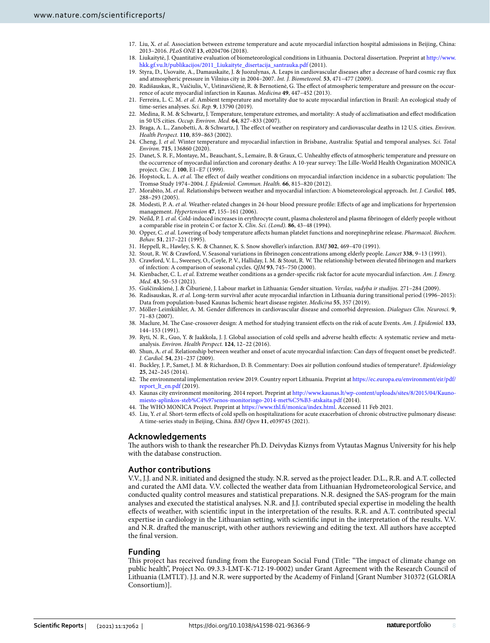- <span id="page-7-0"></span>17. Liu, X. *et al.* Association between extreme temperature and acute myocardial infarction hospital admissions in Beijing, China: 2013–2016. *PLoS ONE* **13**, e0204706 (2018).
- <span id="page-7-1"></span>18. Liukaitytė, J. Quantitative evaluation of biometeorological conditions in Lithuania. Doctoral dissertation. Preprint at [http://www.](http://www.hkk.gf.vu.lt/publikacijos/2011_Liukaityte_disertacija_santrauka.pdf) [hkk.gf.vu.lt/publikacijos/2011\\_Liukaityte\\_disertacija\\_santrauka.pdf](http://www.hkk.gf.vu.lt/publikacijos/2011_Liukaityte_disertacija_santrauka.pdf) (2011).
- 19. Styra, D., Usovaite, A., Damauskaite, J. & Juozulynas, A. Leaps in cardiovascular diseases afer a decrease of hard cosmic ray fux and atmospheric pressure in Vilnius city in 2004–2007. *Int. J. Biometeorol.* **53**, 471–477 (2009).
- <span id="page-7-2"></span>20. Radišauskas, R., Vaičiulis, V., Ustinavičienė, R. & Bernotienė, G. Te efect of atmospheric temperature and pressure on the occurrence of acute myocardial infarction in Kaunas. *Medicina* **49**, 447–452 (2013).
- <span id="page-7-3"></span>21. Ferreira, L. C. M. *et al.* Ambient temperature and mortality due to acute myocardial infarction in Brazil: An ecological study of time-series analyses. *Sci. Rep.* **9**, 13790 (2019).
- 22. Medina, R. M. & Schwartz, J. Temperature, temperature extremes, and mortality: A study of acclimatisation and efect modifcation in 50 US cities. *Occup. Environ. Med.* **64**, 827–833 (2007).
- <span id="page-7-4"></span>23. Braga, A. L., Zanobetti, A. & Schwartz, J. Te efect of weather on respiratory and cardiovascular deaths in 12 U.S. cities. *Environ. Health Perspect.* **110**, 859–863 (2002).
- <span id="page-7-5"></span>24. Cheng, J. *et al.* Winter temperature and myocardial infarction in Brisbane, Australia: Spatial and temporal analyses. *Sci. Total Environ.* **715**, 136860 (2020).
- <span id="page-7-6"></span>25. Danet, S. R. F., Montaye, M., Beauchant, S., Lemaire, B. & Graux, C. Unhealthy efects of atmospheric temperature and pressure on the occurrence of myocardial infarction and coronary deaths: A 10-year survey: The Lille-World Health Organization MONICA project. *Circ. J.* **100**, E1–E7 (1999).
- <span id="page-7-18"></span>26. Hopstock, L. A. *et al.* The effect of daily weather conditions on myocardial infarction incidence in a subarctic population: The Tromsø Study 1974–2004. *J. Epidemiol. Commun. Health.* **66**, 815–820 (2012).
- <span id="page-7-7"></span>27. Morabito, M. *et al.* Relationships between weather and myocardial infarction: A biometeorological approach. *Int. J. Cardiol.* **105**, 288–293 (2005).
- <span id="page-7-8"></span>28. Modesti, P. A. *et al.* Weather-related changes in 24-hour blood pressure profle: Efects of age and implications for hypertension management. *Hypertension* **47**, 155–161 (2006).
- <span id="page-7-9"></span>29. Neild, P. J. *et al.* Cold-induced increases in erythrocyte count, plasma cholesterol and plasma fbrinogen of elderly people without a comparable rise in protein C or factor X. *Clin. Sci. (Lond).* **86**, 43–48 (1994).
- <span id="page-7-10"></span>30. Opper, C. *et al.* Lowering of body temperature afects human platelet functions and norepinephrine release. *Pharmacol. Biochem. Behav.* **51**, 217–221 (1995).
- 31. Heppell, R., Hawley, S. K. & Channer, K. S. Snow shoveller's infarction. *BMJ* **302**, 469–470 (1991).
- 32. Stout, R. W. & Crawford, V. Seasonal variations in fbrinogen concentrations among elderly people. *Lancet* **338**, 9–13 (1991).
- <span id="page-7-11"></span>33. Crawford, V. L., Sweeney, O., Coyle, P. V., Halliday, I. M. & Stout, R. W. The relationship between elevated fibrinogen and markers of infection: A comparison of seasonal cycles. *QJM* **93**, 745–750 (2000).
- <span id="page-7-12"></span>34. Kienbacher, C. L. *et al.* Extreme weather conditions as a gender-specifc risk factor for acute myocardial infarction. *Am. J. Emerg. Med.* **43**, 50–53 (2021).
- <span id="page-7-13"></span>35. Guščinskienė, J. & Čiburienė, J. Labour market in Lithuania: Gender situation. *Verslas, vadyba ir studijos.* 271–284 (2009).
- <span id="page-7-14"></span>36. Radisauskas, R. *et al.* Long-term survival afer acute myocardial infarction in Lithuania during transitional period (1996–2015): Data from population-based Kaunas Ischemic heart disease register. *Medicina* **55**, 357 (2019).
- <span id="page-7-15"></span>37. Möller-Leimkühler, A. M. Gender diferences in cardiovascular disease and comorbid depression. *Dialogues Clin. Neurosci.* **9**, 71–83 (2007).
- <span id="page-7-16"></span>38. Maclure, M. Te Case-crossover design: A method for studying transient efects on the risk of acute Events. *Am. J. Epidemiol.* **133**, 144–153 (1991).
- <span id="page-7-17"></span>39. Ryti, N. R., Guo, Y. & Jaakkola, J. J. Global association of cold spells and adverse health efects: A systematic review and metaanalysis. *Environ. Health Perspect.* **124**, 12–22 (2016).
- <span id="page-7-19"></span>40. Shun, A. *et al.* Relationship between weather and onset of acute myocardial infarction: Can days of frequent onset be predicted?. *J. Cardiol.* **54**, 231–237 (2009).
- <span id="page-7-20"></span>41. Buckley, J. P., Samet, J. M. & Richardson, D. B. Commentary: Does air pollution confound studies of temperature?. *Epidemiology* **25**, 242–245 (2014).
- <span id="page-7-21"></span>42. The environmental implementation review 2019. Country report Lithuania. Preprint at [https://ec.europa.eu/environment/eir/pdf/](https://ec.europa.eu/environment/eir/pdf/report_lt_en.pdf) [report\\_lt\\_en.pdf](https://ec.europa.eu/environment/eir/pdf/report_lt_en.pdf) (2019).
- <span id="page-7-22"></span>43. Kaunas city environment monitoring. 2014 report. Preprint at [http://www.kaunas.lt/wp-content/uploads/sites/8/2015/04/Kauno](http://www.kaunas.lt/wp-content/uploads/sites/8/2015/04/Kauno-miesto-aplinkos-steb%C4%97senos-monitoringo-2014-met%C5%B3-atskaita.pdf)[miesto-aplinkos-steb%C4%97senos-monitoringo-2014-met%C5%B3-atskaita.pdf](http://www.kaunas.lt/wp-content/uploads/sites/8/2015/04/Kauno-miesto-aplinkos-steb%C4%97senos-monitoringo-2014-met%C5%B3-atskaita.pdf) (2014).
- <span id="page-7-23"></span>44. The WHO MONICA Project. Preprint at https://www.thl.fi/monica/index.html. Accessed 11 Feb 2021.
- <span id="page-7-24"></span>45. Liu, Y. *et al.* Short-term efects of cold spells on hospitalizations for acute exacerbation of chronic obstructive pulmonary disease: A time-series study in Beijing, China. *BMJ Open* **11**, e039745 (2021).

# **Acknowledgements**

The authors wish to thank the researcher Ph.D. Deivydas Kiznys from Vytautas Magnus University for his help with the database construction.

# **Author contributions**

V.V., J.J. and N.R. initiated and designed the study. N.R. served as the project leader. D.L., R.R. and A.T. collected and curated the AMI data. V.V. collected the weather data from Lithuanian Hydrometeorological Service, and conducted quality control measures and statistical preparations. N.R. designed the SAS-program for the main analyses and executed the statistical analyses. N.R. and J.J. contributed special expertise in modeling the health efects of weather, with scientifc input in the interpretation of the results. R.R. and A.T. contributed special expertise in cardiology in the Lithuanian setting, with scientifc input in the interpretation of the results. V.V. and N.R. drafed the manuscript, with other authors reviewing and editing the text. All authors have accepted the fnal version.

# **Funding**

This project has received funding from the European Social Fund (Title: "The impact of climate change on public health", Project No. 09.3.3-LMT-K-712-19-0002) under Grant Agreement with the Research Council of Lithuania (LMTLT). J.J. and N.R. were supported by the Academy of Finland [Grant Number 310372 (GLORIA Consortium)].